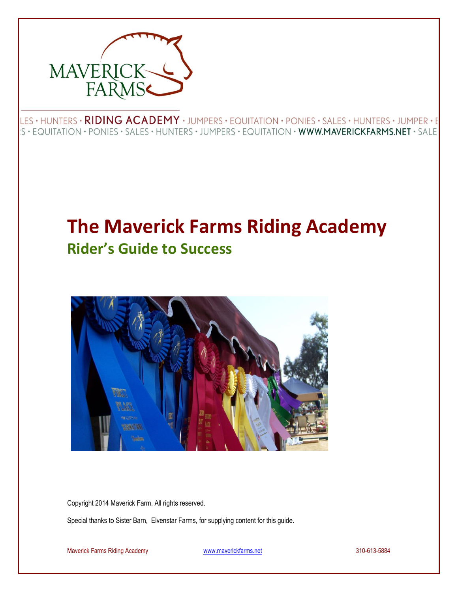

LES · HUNTERS · RIDING ACADEMY · JUMPERS · EQUITATION · PONIES · SALES · HUNTERS · JUMPER · E S • EQUITATION • PONIES • SALES • HUNTERS • JUMPERS • EQUITATION • WWW.MAVERICKFARMS.NET • SALE

# **The Maverick Farms Riding Academy Rider's Guide to Success**



Copyright 2014 Maverick Farm. All rights reserved.

Special thanks to Sister Barn, Elvenstar Farms, for supplying content for this guide.

Maverick Farms Riding Academy [www.maverickfarms.net](http://www.maverickfarms.net/) 310-613-5884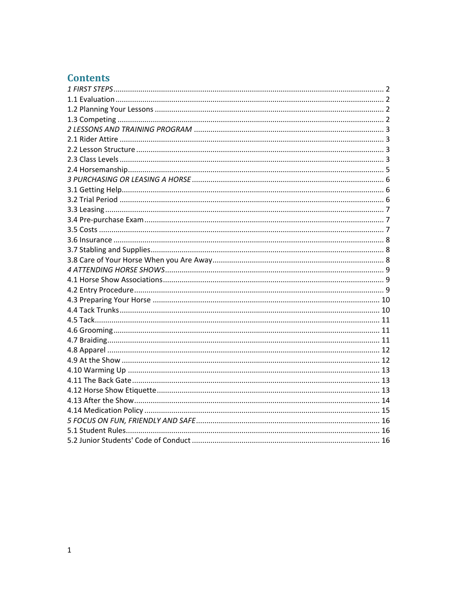# **Contents**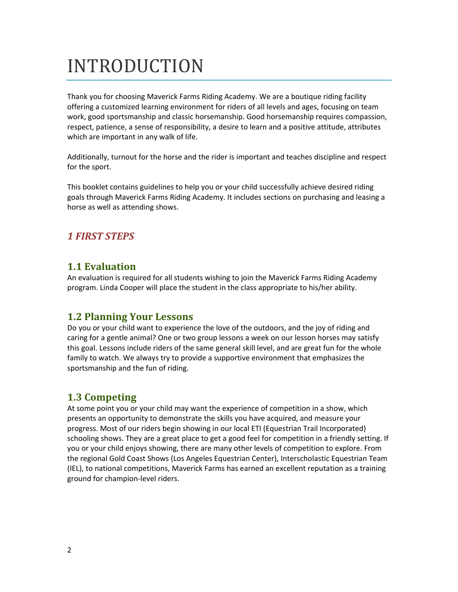# INTRODUCTION

Thank you for choosing Maverick Farms Riding Academy. We are a boutique riding facility offering a customized learning environment for riders of all levels and ages, focusing on team work, good sportsmanship and classic horsemanship. Good horsemanship requires compassion, respect, patience, a sense of responsibility, a desire to learn and a positive attitude, attributes which are important in any walk of life.

Additionally, turnout for the horse and the rider is important and teaches discipline and respect for the sport.

This booklet contains guidelines to help you or your child successfully achieve desired riding goals through Maverick Farms Riding Academy. It includes sections on purchasing and leasing a horse as well as attending shows.

## <span id="page-2-1"></span><span id="page-2-0"></span>*1 FIRST STEPS*

## **1.1 Evaluation**

An evaluation is required for all students wishing to join the Maverick Farms Riding Academy program. Linda Cooper will place the student in the class appropriate to his/her ability.

## <span id="page-2-2"></span>**1.2 Planning Your Lessons**

Do you or your child want to experience the love of the outdoors, and the joy of riding and caring for a gentle animal? One or two group lessons a week on our lesson horses may satisfy this goal. Lessons include riders of the same general skill level, and are great fun for the whole family to watch. We always try to provide a supportive environment that emphasizes the sportsmanship and the fun of riding.

# <span id="page-2-3"></span>**1.3 Competing**

At some point you or your child may want the experience of competition in a show, which presents an opportunity to demonstrate the skills you have acquired, and measure your progress. Most of our riders begin showing in our local ETI (Equestrian Trail Incorporated) schooling shows. They are a great place to get a good feel for competition in a friendly setting. If you or your child enjoys showing, there are many other levels of competition to explore. From the regional Gold Coast Shows (Los Angeles Equestrian Center), Interscholastic Equestrian Team (IEL), to national competitions, Maverick Farms has earned an excellent reputation as a training ground for champion-level riders.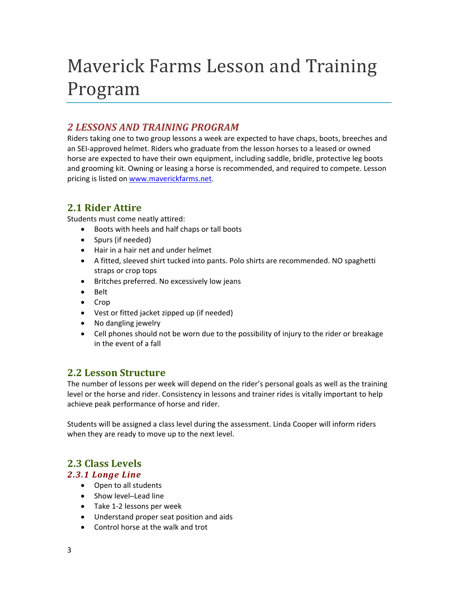# Maverick Farms Lesson and Training Program

## <span id="page-3-0"></span>*2 LESSONS AND TRAINING PROGRAM*

Riders taking one to two group lessons a week are expected to have chaps, boots, breeches and an SEI-approved helmet. Riders who graduate from the lesson horses to a leased or owned horse are expected to have their own equipment, including saddle, bridle, protective leg boots and grooming kit. Owning or leasing a horse is recommended, and required to compete. Lesson pricing is listed on [www.maverickfarms.net.](http://www.maverickfarms.net/)

## <span id="page-3-1"></span>**2.1 Rider Attire**

Students must come neatly attired:

- Boots with heels and half chaps or tall boots
- Spurs (if needed)
- Hair in a hair net and under helmet
- A fitted, sleeved shirt tucked into pants. Polo shirts are recommended. NO spaghetti straps or crop tops
- Britches preferred. No excessively low jeans
- Belt
- Crop
- Vest or fitted jacket zipped up (if needed)
- No dangling jewelry
- Cell phones should not be worn due to the possibility of injury to the rider or breakage in the event of a fall

## <span id="page-3-2"></span>**2.2 Lesson Structure**

The number of lessons per week will depend on the rider's personal goals as well as the training level or the horse and rider. Consistency in lessons and trainer rides is vitally important to help achieve peak performance of horse and rider.

Students will be assigned a class level during the assessment. Linda Cooper will inform riders when they are ready to move up to the next level.

# <span id="page-3-3"></span>**2.3 Class Levels**

#### *2.3.1 Longe Line*

- Open to all students
- Show level-Lead line
- Take 1-2 lessons per week
- Understand proper seat position and aids
- Control horse at the walk and trot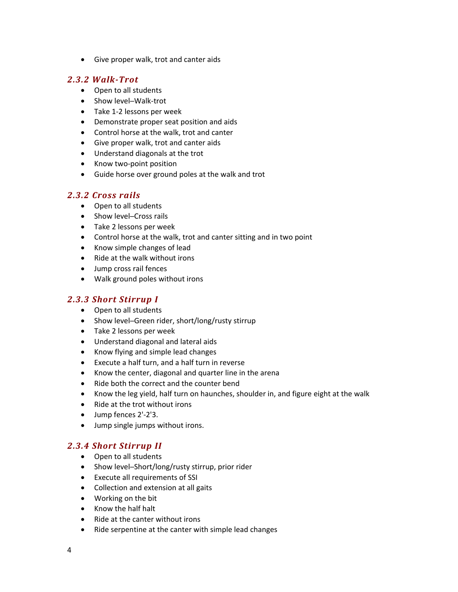Give proper walk, trot and canter aids

#### *2.3.2 Walk-Trot*

- Open to all students
- Show level-Walk-trot
- Take 1-2 lessons per week
- Demonstrate proper seat position and aids
- Control horse at the walk, trot and canter
- Give proper walk, trot and canter aids
- Understand diagonals at the trot
- Know two-point position
- Guide horse over ground poles at the walk and trot

#### *2.3.2 Cross rails*

- Open to all students
- Show level-Cross rails
- Take 2 lessons per week
- Control horse at the walk, trot and canter sitting and in two point
- Know simple changes of lead
- Ride at the walk without irons
- Jump cross rail fences
- Walk ground poles without irons

#### *2.3.3 Short Stirrup I*

- Open to all students
- Show level-Green rider, short/long/rusty stirrup
- Take 2 lessons per week
- Understand diagonal and lateral aids
- Know flying and simple lead changes
- Execute a half turn, and a half turn in reverse
- Know the center, diagonal and quarter line in the arena
- Ride both the correct and the counter bend
- Know the leg yield, half turn on haunches, shoulder in, and figure eight at the walk
- Ride at the trot without irons
- Jump fences 2'-2'3.
- Jump single jumps without irons.

#### *2.3.4 Short Stirrup II*

- Open to all students
- Show level-Short/long/rusty stirrup, prior rider
- Execute all requirements of SSI
- Collection and extension at all gaits
- Working on the bit
- Know the half halt
- Ride at the canter without irons
- Ride serpentine at the canter with simple lead changes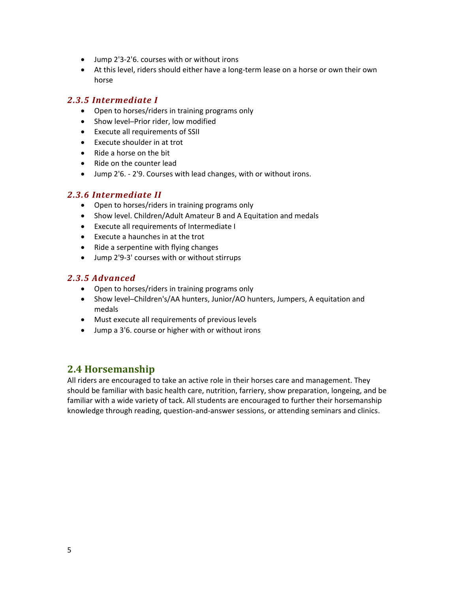- Jump 2'3-2'6. courses with or without irons
- At this level, riders should either have a long-term lease on a horse or own their own horse

#### *2.3.5 Intermediate I*

- Open to horses/riders in training programs only
- Show level-Prior rider, low modified
- Execute all requirements of SSII
- Execute shoulder in at trot
- $\bullet$  Ride a horse on the bit
- Ride on the counter lead
- Jump 2'6. 2'9. Courses with lead changes, with or without irons.

#### *2.3.6 Intermediate II*

- Open to horses/riders in training programs only
- Show level. Children/Adult Amateur B and A Equitation and medals
- Execute all requirements of Intermediate I
- Execute a haunches in at the trot
- Ride a serpentine with flying changes
- Jump 2'9-3' courses with or without stirrups

#### *2.3.5 Advanced*

- Open to horses/riders in training programs only
- Show level─Children's/AA hunters, Junior/AO hunters, Jumpers, A equitation and medals
- Must execute all requirements of previous levels
- Jump a 3'6. course or higher with or without irons

## <span id="page-5-0"></span>**2.4 Horsemanship**

All riders are encouraged to take an active role in their horses care and management. They should be familiar with basic health care, nutrition, farriery, show preparation, longeing, and be familiar with a wide variety of tack. All students are encouraged to further their horsemanship knowledge through reading, question-and-answer sessions, or attending seminars and clinics.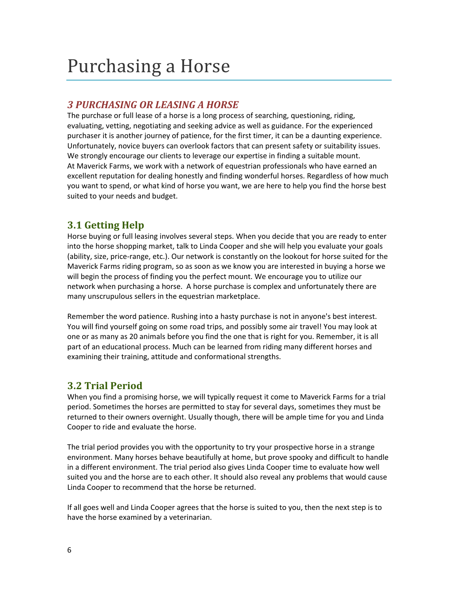# Purchasing a Horse

# <span id="page-6-0"></span>*3 PURCHASING OR LEASING A HORSE*

The purchase or full lease of a horse is a long process of searching, questioning, riding, evaluating, vetting, negotiating and seeking advice as well as guidance. For the experienced purchaser it is another journey of patience, for the first timer, it can be a daunting experience. Unfortunately, novice buyers can overlook factors that can present safety or suitability issues. We strongly encourage our clients to leverage our expertise in finding a suitable mount. At Maverick Farms, we work with a network of equestrian professionals who have earned an excellent reputation for dealing honestly and finding wonderful horses. Regardless of how much you want to spend, or what kind of horse you want, we are here to help you find the horse best suited to your needs and budget.

# <span id="page-6-1"></span>**3.1 Getting Help**

Horse buying or full leasing involves several steps. When you decide that you are ready to enter into the horse shopping market, talk to Linda Cooper and she will help you evaluate your goals (ability, size, price-range, etc.). Our network is constantly on the lookout for horse suited for the Maverick Farms riding program, so as soon as we know you are interested in buying a horse we will begin the process of finding you the perfect mount. We encourage you to utilize our network when purchasing a horse. A horse purchase is complex and unfortunately there are many unscrupulous sellers in the equestrian marketplace.

Remember the word patience. Rushing into a hasty purchase is not in anyone's best interest. You will find yourself going on some road trips, and possibly some air travel! You may look at one or as many as 20 animals before you find the one that is right for you. Remember, it is all part of an educational process. Much can be learned from riding many different horses and examining their training, attitude and conformational strengths.

# <span id="page-6-2"></span>**3.2 Trial Period**

When you find a promising horse, we will typically request it come to Maverick Farms for a trial period. Sometimes the horses are permitted to stay for several days, sometimes they must be returned to their owners overnight. Usually though, there will be ample time for you and Linda Cooper to ride and evaluate the horse.

The trial period provides you with the opportunity to try your prospective horse in a strange environment. Many horses behave beautifully at home, but prove spooky and difficult to handle in a different environment. The trial period also gives Linda Cooper time to evaluate how well suited you and the horse are to each other. It should also reveal any problems that would cause Linda Cooper to recommend that the horse be returned.

If all goes well and Linda Cooper agrees that the horse is suited to you, then the next step is to have the horse examined by a veterinarian.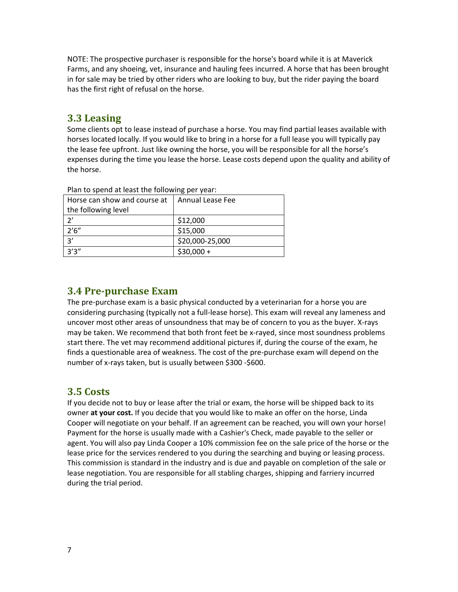NOTE: The prospective purchaser is responsible for the horse's board while it is at Maverick Farms, and any shoeing, vet, insurance and hauling fees incurred. A horse that has been brought in for sale may be tried by other riders who are looking to buy, but the rider paying the board has the first right of refusal on the horse.

### <span id="page-7-0"></span>**3.3 Leasing**

Some clients opt to lease instead of purchase a horse. You may find partial leases available with horses located locally. If you would like to bring in a horse for a full lease you will typically pay the lease fee upfront. Just like owning the horse, you will be responsible for all the horse's expenses during the time you lease the horse. Lease costs depend upon the quality and ability of the horse.

| $\frac{1}{2}$ . The contract of the contract the second term $\frac{1}{2}$ below that the contract of the contract of the contract of the contract of the contract of the contract of the contract of the contract of the contract of |                         |  |
|---------------------------------------------------------------------------------------------------------------------------------------------------------------------------------------------------------------------------------------|-------------------------|--|
| Horse can show and course at                                                                                                                                                                                                          | <b>Annual Lease Fee</b> |  |
| the following level                                                                                                                                                                                                                   |                         |  |
|                                                                                                                                                                                                                                       | \$12,000                |  |
| 2'6''                                                                                                                                                                                                                                 | \$15,000                |  |
| 3'                                                                                                                                                                                                                                    | \$20,000-25,000         |  |
| 3'3''                                                                                                                                                                                                                                 | $$30,000 +$             |  |

Plan to spend at least the following per year:

#### <span id="page-7-1"></span>**3.4 Pre-purchase Exam**

The pre-purchase exam is a basic physical conducted by a veterinarian for a horse you are considering purchasing (typically not a full-lease horse). This exam will reveal any lameness and uncover most other areas of unsoundness that may be of concern to you as the buyer. X-rays may be taken. We recommend that both front feet be x-rayed, since most soundness problems start there. The vet may recommend additional pictures if, during the course of the exam, he finds a questionable area of weakness. The cost of the pre-purchase exam will depend on the number of x-rays taken, but is usually between \$300 -\$600.

## <span id="page-7-2"></span>**3.5 Costs**

If you decide not to buy or lease after the trial or exam, the horse will be shipped back to its owner **at your cost.** If you decide that you would like to make an offer on the horse, Linda Cooper will negotiate on your behalf. If an agreement can be reached, you will own your horse! Payment for the horse is usually made with a Cashier's Check, made payable to the seller or agent. You will also pay Linda Cooper a 10% commission fee on the sale price of the horse or the lease price for the services rendered to you during the searching and buying or leasing process. This commission is standard in the industry and is due and payable on completion of the sale or lease negotiation. You are responsible for all stabling charges, shipping and farriery incurred during the trial period.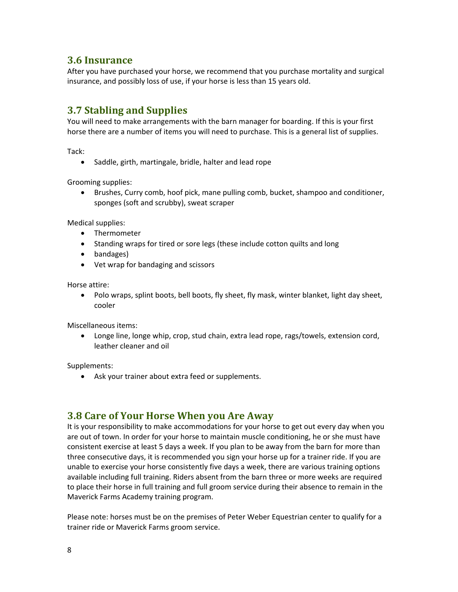#### <span id="page-8-0"></span>**3.6 Insurance**

After you have purchased your horse, we recommend that you purchase mortality and surgical insurance, and possibly loss of use, if your horse is less than 15 years old.

## <span id="page-8-1"></span>**3.7 Stabling and Supplies**

You will need to make arrangements with the barn manager for boarding. If this is your first horse there are a number of items you will need to purchase. This is a general list of supplies.

Tack:

• Saddle, girth, martingale, bridle, halter and lead rope

Grooming supplies:

 Brushes, Curry comb, hoof pick, mane pulling comb, bucket, shampoo and conditioner, sponges (soft and scrubby), sweat scraper

Medical supplies:

- Thermometer
- Standing wraps for tired or sore legs (these include cotton quilts and long
- bandages)
- Vet wrap for bandaging and scissors

Horse attire:

• Polo wraps, splint boots, bell boots, fly sheet, fly mask, winter blanket, light day sheet, cooler

Miscellaneous items:

 Longe line, longe whip, crop, stud chain, extra lead rope, rags/towels, extension cord, leather cleaner and oil

Supplements:

Ask your trainer about extra feed or supplements.

#### <span id="page-8-2"></span>**3.8 Care of Your Horse When you Are Away**

It is your responsibility to make accommodations for your horse to get out every day when you are out of town. In order for your horse to maintain muscle conditioning, he or she must have consistent exercise at least 5 days a week. If you plan to be away from the barn for more than three consecutive days, it is recommended you sign your horse up for a trainer ride. If you are unable to exercise your horse consistently five days a week, there are various training options available including full training. Riders absent from the barn three or more weeks are required to place their horse in full training and full groom service during their absence to remain in the Maverick Farms Academy training program.

Please note: horses must be on the premises of Peter Weber Equestrian center to qualify for a trainer ride or Maverick Farms groom service.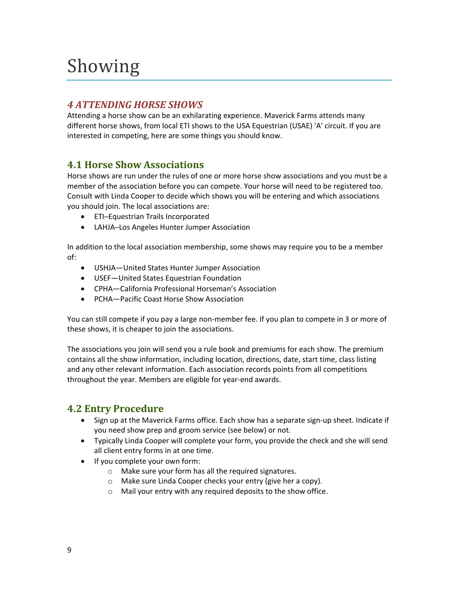# Showing

# <span id="page-9-0"></span>*4 ATTENDING HORSE SHOWS*

Attending a horse show can be an exhilarating experience. Maverick Farms attends many different horse shows, from local ETI shows to the USA Equestrian (USAE) 'A' circuit. If you are interested in competing, here are some things you should know.

# <span id="page-9-1"></span>**4.1 Horse Show Associations**

Horse shows are run under the rules of one or more horse show associations and you must be a member of the association before you can compete. Your horse will need to be registered too. Consult with Linda Cooper to decide which shows you will be entering and which associations you should join. The local associations are:

- ETI-Equestrian Trails Incorporated
- LAHJA─Los Angeles Hunter Jumper Association

In addition to the local association membership, some shows may require you to be a member of:

- USHJA—United States Hunter Jumper Association
- USEF—United States Equestrian Foundation
- CPHA—California Professional Horseman's Association
- PCHA—Pacific Coast Horse Show Association

You can still compete if you pay a large non-member fee. If you plan to compete in 3 or more of these shows, it is cheaper to join the associations.

The associations you join will send you a rule book and premiums for each show. The premium contains all the show information, including location, directions, date, start time, class listing and any other relevant information. Each association records points from all competitions throughout the year. Members are eligible for year-end awards.

# <span id="page-9-2"></span>**4.2 Entry Procedure**

- Sign up at the Maverick Farms office. Each show has a separate sign-up sheet. Indicate if you need show prep and groom service (see below) or not.
- Typically Linda Cooper will complete your form, you provide the check and she will send all client entry forms in at one time.
- If you complete your own form:
	- o Make sure your form has all the required signatures.
	- o Make sure Linda Cooper checks your entry (give her a copy).
	- o Mail your entry with any required deposits to the show office.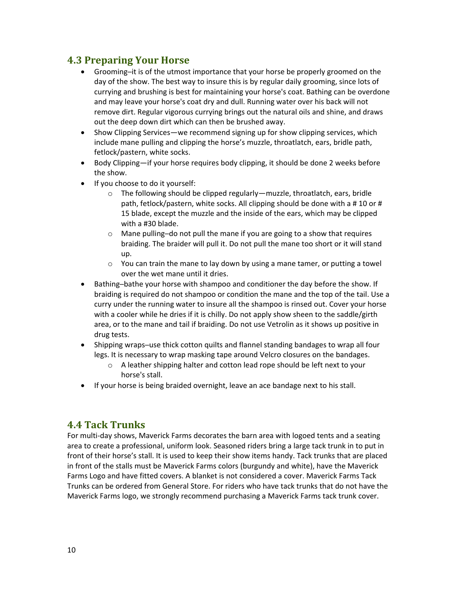## <span id="page-10-0"></span>**4.3 Preparing Your Horse**

- Grooming─it is of the utmost importance that your horse be properly groomed on the day of the show. The best way to insure this is by regular daily grooming, since lots of currying and brushing is best for maintaining your horse's coat. Bathing can be overdone and may leave your horse's coat dry and dull. Running water over his back will not remove dirt. Regular vigorous currying brings out the natural oils and shine, and draws out the deep down dirt which can then be brushed away.
- Show Clipping Services—we recommend signing up for show clipping services, which include mane pulling and clipping the horse's muzzle, throatlatch, ears, bridle path, fetlock/pastern, white socks.
- Body Clipping—if your horse requires body clipping, it should be done 2 weeks before the show.
- If you choose to do it yourself:
	- o The following should be clipped regularly—muzzle, throatlatch, ears, bridle path, fetlock/pastern, white socks. All clipping should be done with a # 10 or # 15 blade, except the muzzle and the inside of the ears, which may be clipped with a #30 blade.
	- o Mane pulling─do not pull the mane if you are going to a show that requires braiding. The braider will pull it. Do not pull the mane too short or it will stand up.
	- $\circ$  You can train the mane to lay down by using a mane tamer, or putting a towel over the wet mane until it dries.
- Bathing-bathe your horse with shampoo and conditioner the day before the show. If braiding is required do not shampoo or condition the mane and the top of the tail. Use a curry under the running water to insure all the shampoo is rinsed out. Cover your horse with a cooler while he dries if it is chilly. Do not apply show sheen to the saddle/girth area, or to the mane and tail if braiding. Do not use Vetrolin as it shows up positive in drug tests.
- Shipping wraps-use thick cotton quilts and flannel standing bandages to wrap all four legs. It is necessary to wrap masking tape around Velcro closures on the bandages.
	- o A leather shipping halter and cotton lead rope should be left next to your horse's stall.
- If your horse is being braided overnight, leave an ace bandage next to his stall.

## <span id="page-10-1"></span>**4.4 Tack Trunks**

For multi-day shows, Maverick Farms decorates the barn area with logoed tents and a seating area to create a professional, uniform look. Seasoned riders bring a large tack trunk in to put in front of their horse's stall. It is used to keep their show items handy. Tack trunks that are placed in front of the stalls must be Maverick Farms colors (burgundy and white), have the Maverick Farms Logo and have fitted covers. A blanket is not considered a cover. Maverick Farms Tack Trunks can be ordered from General Store. For riders who have tack trunks that do not have the Maverick Farms logo, we strongly recommend purchasing a Maverick Farms tack trunk cover.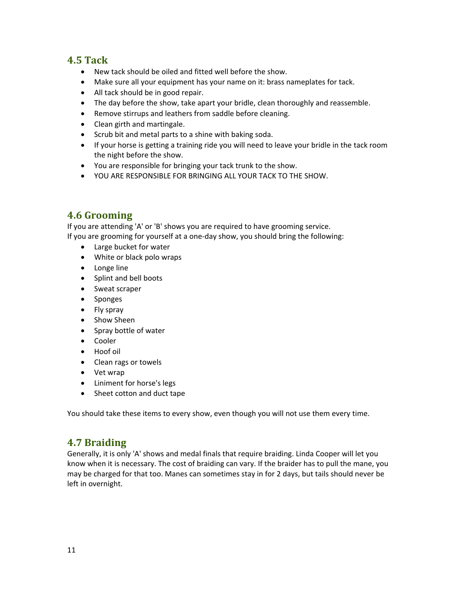## <span id="page-11-0"></span>**4.5 Tack**

- New tack should be oiled and fitted well before the show.
- Make sure all your equipment has your name on it: brass nameplates for tack.
- All tack should be in good repair.
- The day before the show, take apart your bridle, clean thoroughly and reassemble.
- Remove stirrups and leathers from saddle before cleaning.
- Clean girth and martingale.
- Scrub bit and metal parts to a shine with baking soda.
- If your horse is getting a training ride you will need to leave your bridle in the tack room the night before the show.
- You are responsible for bringing your tack trunk to the show.
- YOU ARE RESPONSIBLE FOR BRINGING ALL YOUR TACK TO THE SHOW.

# <span id="page-11-1"></span>**4.6 Grooming**

If you are attending 'A' or 'B' shows you are required to have grooming service. If you are grooming for yourself at a one-day show, you should bring the following:

- Large bucket for water
- White or black polo wraps
- Longe line
- Splint and bell boots
- Sweat scraper
- Sponges
- Fly spray
- Show Sheen
- Spray bottle of water
- Cooler
- Hoof oil
- Clean rags or towels
- Vet wrap
- Liniment for horse's legs
- Sheet cotton and duct tape

<span id="page-11-2"></span>You should take these items to every show, even though you will not use them every time.

# **4.7 Braiding**

Generally, it is only 'A' shows and medal finals that require braiding. Linda Cooper will let you know when it is necessary. The cost of braiding can vary. If the braider has to pull the mane, you may be charged for that too. Manes can sometimes stay in for 2 days, but tails should never be left in overnight.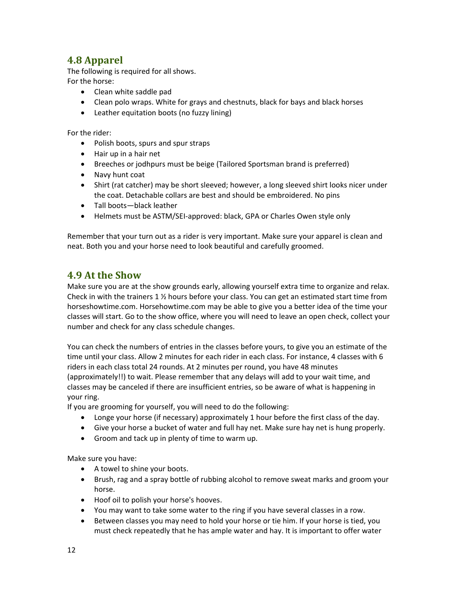# <span id="page-12-0"></span>**4.8 Apparel**

The following is required for all shows. For the horse:

- Clean white saddle pad
- Clean polo wraps. White for grays and chestnuts, black for bays and black horses
- Leather equitation boots (no fuzzy lining)

For the rider:

- Polish boots, spurs and spur straps
- Hair up in a hair net
- Breeches or jodhpurs must be beige (Tailored Sportsman brand is preferred)
- Navy hunt coat
- Shirt (rat catcher) may be short sleeved; however, a long sleeved shirt looks nicer under the coat. Detachable collars are best and should be embroidered. No pins
- Tall boots—black leather
- Helmets must be ASTM/SEI-approved: black, GPA or Charles Owen style only

<span id="page-12-1"></span>Remember that your turn out as a rider is very important. Make sure your apparel is clean and neat. Both you and your horse need to look beautiful and carefully groomed.

#### **4.9 At the Show**

Make sure you are at the show grounds early, allowing yourself extra time to organize and relax. Check in with the trainers  $1\frac{1}{2}$  hours before your class. You can get an estimated start time from horseshowtime.com. Horsehowtime.com may be able to give you a better idea of the time your classes will start. Go to the show office, where you will need to leave an open check, collect your number and check for any class schedule changes.

You can check the numbers of entries in the classes before yours, to give you an estimate of the time until your class. Allow 2 minutes for each rider in each class. For instance, 4 classes with 6 riders in each class total 24 rounds. At 2 minutes per round, you have 48 minutes (approximately!!) to wait. Please remember that any delays will add to your wait time, and classes may be canceled if there are insufficient entries, so be aware of what is happening in your ring.

If you are grooming for yourself, you will need to do the following:

- Longe your horse (if necessary) approximately 1 hour before the first class of the day.
- Give your horse a bucket of water and full hay net. Make sure hay net is hung properly.
- Groom and tack up in plenty of time to warm up.

Make sure you have:

- A towel to shine your boots.
- Brush, rag and a spray bottle of rubbing alcohol to remove sweat marks and groom your horse.
- Hoof oil to polish your horse's hooves.
- You may want to take some water to the ring if you have several classes in a row.
- Between classes you may need to hold your horse or tie him. If your horse is tied, you must check repeatedly that he has ample water and hay. It is important to offer water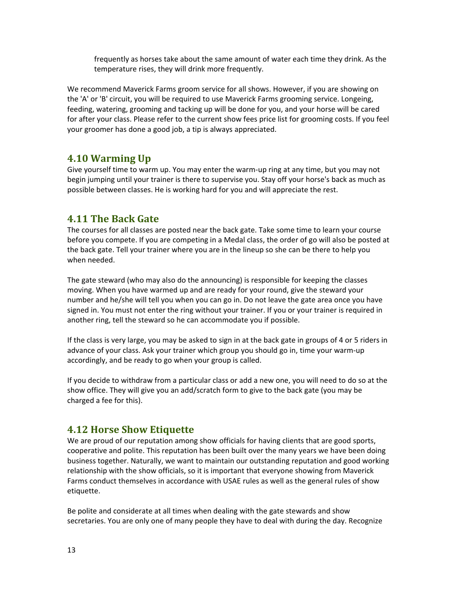frequently as horses take about the same amount of water each time they drink. As the temperature rises, they will drink more frequently.

We recommend Maverick Farms groom service for all shows. However, if you are showing on the 'A' or 'B' circuit, you will be required to use Maverick Farms grooming service. Longeing, feeding, watering, grooming and tacking up will be done for you, and your horse will be cared for after your class. Please refer to the current show fees price list for grooming costs. If you feel your groomer has done a good job, a tip is always appreciated.

#### <span id="page-13-0"></span>**4.10 Warming Up**

Give yourself time to warm up. You may enter the warm-up ring at any time, but you may not begin jumping until your trainer is there to supervise you. Stay off your horse's back as much as possible between classes. He is working hard for you and will appreciate the rest.

## <span id="page-13-1"></span>**4.11 The Back Gate**

The courses for all classes are posted near the back gate. Take some time to learn your course before you compete. If you are competing in a Medal class, the order of go will also be posted at the back gate. Tell your trainer where you are in the lineup so she can be there to help you when needed.

The gate steward (who may also do the announcing) is responsible for keeping the classes moving. When you have warmed up and are ready for your round, give the steward your number and he/she will tell you when you can go in. Do not leave the gate area once you have signed in. You must not enter the ring without your trainer. If you or your trainer is required in another ring, tell the steward so he can accommodate you if possible.

If the class is very large, you may be asked to sign in at the back gate in groups of 4 or 5 riders in advance of your class. Ask your trainer which group you should go in, time your warm-up accordingly, and be ready to go when your group is called.

If you decide to withdraw from a particular class or add a new one, you will need to do so at the show office. They will give you an add/scratch form to give to the back gate (you may be charged a fee for this).

#### <span id="page-13-2"></span>**4.12 Horse Show Etiquette**

We are proud of our reputation among show officials for having clients that are good sports, cooperative and polite. This reputation has been built over the many years we have been doing business together. Naturally, we want to maintain our outstanding reputation and good working relationship with the show officials, so it is important that everyone showing from Maverick Farms conduct themselves in accordance with USAE rules as well as the general rules of show etiquette.

Be polite and considerate at all times when dealing with the gate stewards and show secretaries. You are only one of many people they have to deal with during the day. Recognize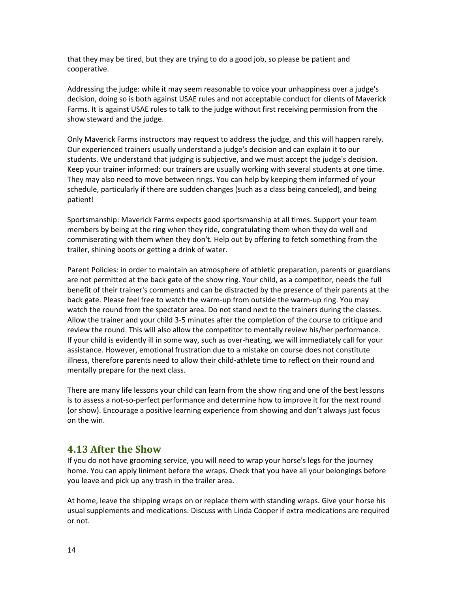that they may be tired, but they are trying to do a good job, so please be patient and cooperative.

Addressing the judge: while it may seem reasonable to voice your unhappiness over a judge's decision, doing so is both against USAE rules and not acceptable conduct for clients of Maverick Farms. It is against USAE rules to talk to the judge without first receiving permission from the show steward and the judge.

Only Maverick Farms instructors may request to address the judge, and this will happen rarely. Our experienced trainers usually understand a judge's decision and can explain it to our students. We understand that judging is subjective, and we must accept the judge's decision. Keep your trainer informed: our trainers are usually working with several students at one time. They may also need to move between rings. You can help by keeping them informed of your schedule, particularly if there are sudden changes (such as a class being canceled), and being patient!

Sportsmanship: Maverick Farms expects good sportsmanship at all times. Support your team members by being at the ring when they ride, congratulating them when they do well and commiserating with them when they don't. Help out by offering to fetch something from the trailer, shining boots or getting a drink of water.

Parent Policies: in order to maintain an atmosphere of athletic preparation, parents or guardians are not permitted at the back gate of the show ring. Your child, as a competitor, needs the full benefit of their trainer's comments and can be distracted by the presence of their parents at the back gate. Please feel free to watch the warm-up from outside the warm-up ring. You may watch the round from the spectator area. Do not stand next to the trainers during the classes. Allow the trainer and your child 3-5 minutes after the completion of the course to critique and review the round. This will also allow the competitor to mentally review his/her performance. If your child is evidently ill in some way, such as over-heating, we will immediately call for your assistance. However, emotional frustration due to a mistake on course does not constitute illness, therefore parents need to allow their child-athlete time to reflect on their round and mentally prepare for the next class.

There are many life lessons your child can learn from the show ring and one of the best lessons is to assess a not-so-perfect performance and determine how to improve it for the next round (or show). Encourage a positive learning experience from showing and don't always just focus on the win.

#### <span id="page-14-0"></span>**4.13 After the Show**

If you do not have grooming service, you will need to wrap your horse's legs for the journey home. You can apply liniment before the wraps. Check that you have all your belongings before you leave and pick up any trash in the trailer area.

At home, leave the shipping wraps on or replace them with standing wraps. Give your horse his usual supplements and medications. Discuss with Linda Cooper if extra medications are required or not.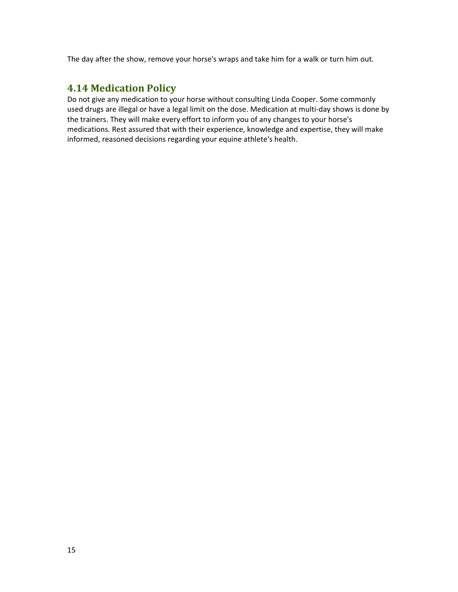<span id="page-15-0"></span>The day after the show, remove your horse's wraps and take him for a walk or turn him out.

## **4.14 Medication Policy**

Do not give any medication to your horse without consulting Linda Cooper. Some commonly used drugs are illegal or have a legal limit on the dose. Medication at multi-day shows is done by the trainers. They will make every effort to inform you of any changes to your horse's medications. Rest assured that with their experience, knowledge and expertise, they will make informed, reasoned decisions regarding your equine athlete's health.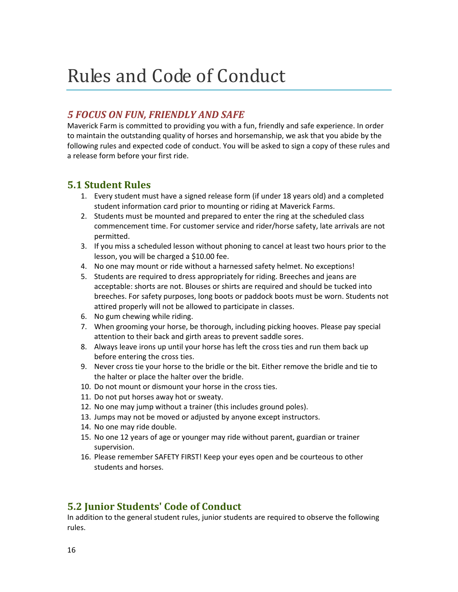# Rules and Code of Conduct

## <span id="page-16-0"></span>*5 FOCUS ON FUN, FRIENDLY AND SAFE*

Maverick Farm is committed to providing you with a fun, friendly and safe experience. In order to maintain the outstanding quality of horses and horsemanship, we ask that you abide by the following rules and expected code of conduct. You will be asked to sign a copy of these rules and a release form before your first ride.

#### <span id="page-16-1"></span>**5.1 Student Rules**

- 1. Every student must have a signed release form (if under 18 years old) and a completed student information card prior to mounting or riding at Maverick Farms.
- 2. Students must be mounted and prepared to enter the ring at the scheduled class commencement time. For customer service and rider/horse safety, late arrivals are not permitted.
- 3. If you miss a scheduled lesson without phoning to cancel at least two hours prior to the lesson, you will be charged a \$10.00 fee.
- 4. No one may mount or ride without a harnessed safety helmet. No exceptions!
- 5. Students are required to dress appropriately for riding. Breeches and jeans are acceptable: shorts are not. Blouses or shirts are required and should be tucked into breeches. For safety purposes, long boots or paddock boots must be worn. Students not attired properly will not be allowed to participate in classes.
- 6. No gum chewing while riding.
- 7. When grooming your horse, be thorough, including picking hooves. Please pay special attention to their back and girth areas to prevent saddle sores.
- 8. Always leave irons up until your horse has left the cross ties and run them back up before entering the cross ties.
- 9. Never cross tie your horse to the bridle or the bit. Either remove the bridle and tie to the halter or place the halter over the bridle.
- 10. Do not mount or dismount your horse in the cross ties.
- 11. Do not put horses away hot or sweaty.
- 12. No one may jump without a trainer (this includes ground poles).
- 13. Jumps may not be moved or adjusted by anyone except instructors.
- 14. No one may ride double.
- 15. No one 12 years of age or younger may ride without parent, guardian or trainer supervision.
- 16. Please remember SAFETY FIRST! Keep your eyes open and be courteous to other students and horses.

# <span id="page-16-2"></span>**5.2 Junior Students' Code of Conduct**

In addition to the general student rules, junior students are required to observe the following rules.